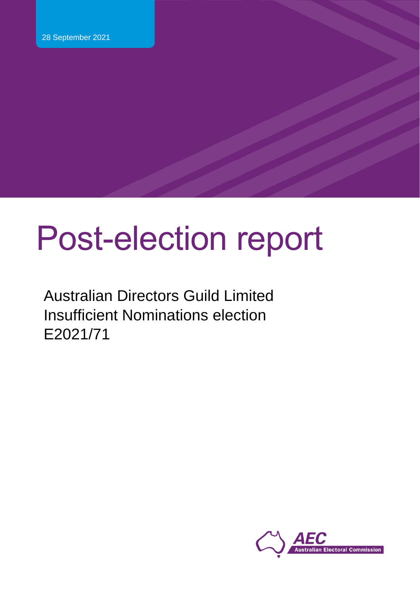# Post-election report

Australian Directors Guild Limited Insufficient Nominations election E2021/71

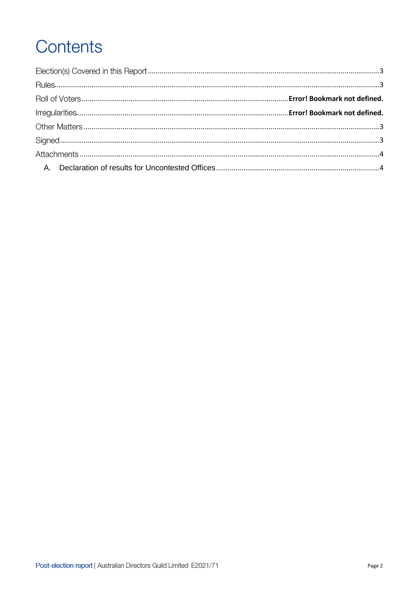# Contents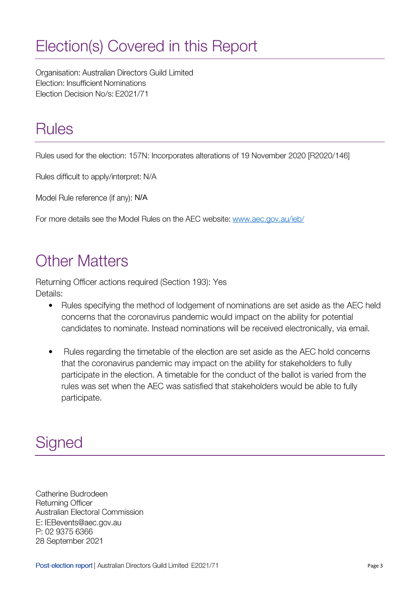## <span id="page-2-0"></span>Election(s) Covered in this Report

Organisation: Australian Directors Guild Limited Election: Insufficient Nominations Election Decision No/s: E2021/71

### <span id="page-2-1"></span>**Rules**

Rules used for the election: 157N: Incorporates alterations of 19 November 2020 [R2020/146]

Rules difficult to apply/interpret: N/A

Model Rule reference (if any): N/A

For more details see the Model Rules on the AEC website: www.aec.gov.au/ieb/

### <span id="page-2-2"></span>**Other Matters**

Returning Officer actions required (Section 193): Yes Details:

- Rules specifying the method of lodgement of nominations are set aside as the AEC held concerns that the coronavirus pandemic would impact on the ability for potential candidates to nominate. Instead nominations will be received electronically, via email.
- Rules regarding the timetable of the election are set aside as the AEC hold concerns •that the coronavirus pandemic may impact on the ability for stakeholders to fully participate in the election. A timetable for the conduct of the ballot is varied from the rules was set when the AEC was satisfied that stakeholders would be able to fully participate.

### <span id="page-2-3"></span>Signed

Catherine Budrodeen Returning Officer Australian Electoral Commission E: IEBevents@aec.gov.au P: 02 9375 6366 28 September 2021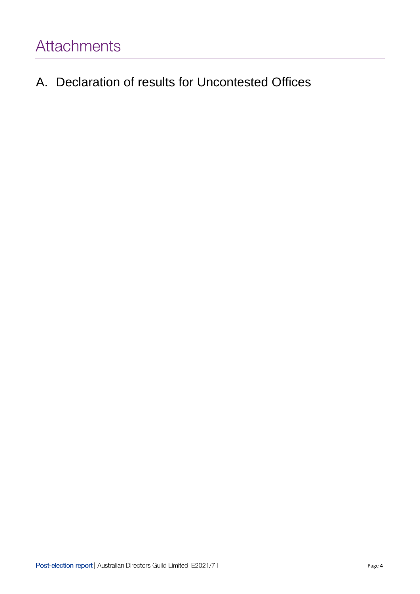<span id="page-3-1"></span><span id="page-3-0"></span>A. Declaration of results for Uncontested Offices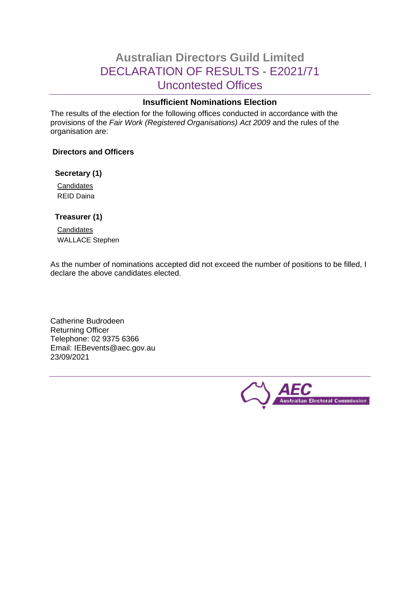### **Australian Directors Guild Limited** DECLARATION OF RESULTS - E2021/71 Uncontested Offices

### **Insufficient Nominations Election**

The results of the election for the following offices conducted in accordance with the provisions of the *Fair Work (Registered Organisations) Act 2009* and the rules of the organisation are:

### **Directors and Officers**

#### **Secretary (1)**

**Candidates** REID Daina

### **Treasurer (1)**

**Candidates** WALLACE Stephen

As the number of nominations accepted did not exceed the number of positions to be filled, I declare the above candidates elected.

Catherine Budrodeen Returning Officer Telephone: 02 9375 6366 Email: IEBevents@aec.gov.au 23/09/2021

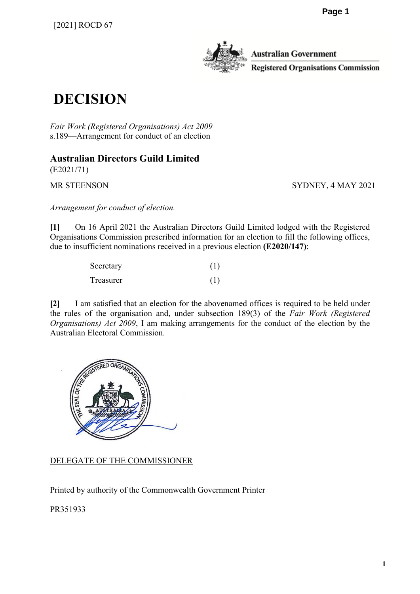

Australian Government Registered Organisations Commission

### **DECISION**

*Fair Work (Registered Organisations) Act 2009* s.189—Arrangement for conduct of an election

**Australian Directors Guild Limited**

(E2021/71)

MR STEENSON SYDNEY, 4 MAY 2021

*Arrangement for conduct of election.*

**[1]** On 16 April 2021 the Australian Directors Guild Limited lodged with the Registered Organisations Commission prescribed information for an election to fill the following offices, due to insufficient nominations received in a previous election **(E2020/147)**:

| Secretary | (1) |
|-----------|-----|
| Treasurer | (1) |

**[2]** I am satisfied that an election for the abovenamed offices is required to be held under the rules of the organisation and, under subsection 189(3) of the *Fair Work (Registered Organisations) Act 2009*, I am making arrangements for the conduct of the election by the Australian Electoral Commission.



DELEGATE OF THE COMMISSIONER

Printed by authority of the Commonwealth Government Printer

PR351933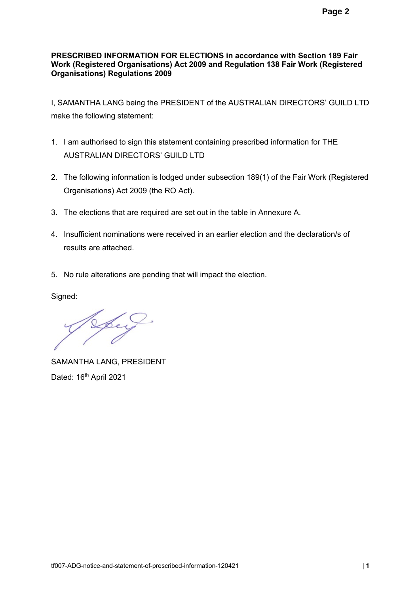### **PRESCRIBED INFORMATION FOR ELECTIONS in accordance with Section 189 Fair Work (Registered Organisations) Act 2009 and Regulation 138 Fair Work (Registered Organisations) Regulations 2009**

I, SAMANTHA LANG being the PRESIDENT of the AUSTRALIAN DIRECTORS' GUILD LTD make the following statement:

- 1. I am authorised to sign this statement containing prescribed information for THE AUSTRALIAN DIRECTORS' GUILD LTD
- 2. The following information is lodged under subsection 189(1) of the Fair Work (Registered Organisations) Act 2009 (the RO Act).
- 3. The elections that are required are set out in the table in Annexure A.
- 4. Insufficient nominations were received in an earlier election and the declaration/s of results are attached.
- 5. No rule alterations are pending that will impact the election.

Signed:

Spey

SAMANTHA LANG, PRESIDENT Dated: 16<sup>th</sup> April 2021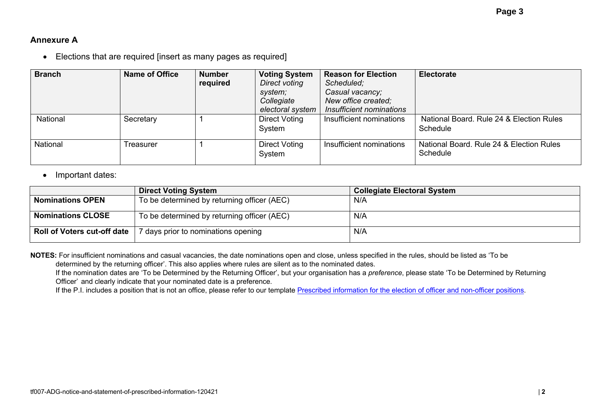### **Annexure A**

• Elections that are required [insert as many pages as required]

| <b>Branch</b> | Name of Office | <b>Number</b><br>required | <b>Voting System</b><br>Direct voting<br>system;<br>Collegiate<br>electoral system | <b>Reason for Election</b><br>Scheduled;<br>Casual vacancy;<br>New office created;<br>Insufficient nominations | <b>Electorate</b>                                    |
|---------------|----------------|---------------------------|------------------------------------------------------------------------------------|----------------------------------------------------------------------------------------------------------------|------------------------------------------------------|
| National      | Secretary      |                           | <b>Direct Voting</b><br>System                                                     | Insufficient nominations                                                                                       | National Board, Rule 24 & Election Rules<br>Schedule |
| National      | Treasurer      |                           | <b>Direct Voting</b><br>System                                                     | Insufficient nominations                                                                                       | National Board. Rule 24 & Election Rules<br>Schedule |

#### • Important dates:

|                                    | <b>Direct Voting System</b>                 | <b>Collegiate Electoral System</b> |
|------------------------------------|---------------------------------------------|------------------------------------|
| <b>Nominations OPEN</b>            | To be determined by returning officer (AEC) | N/A                                |
| <b>Nominations CLOSE</b>           | To be determined by returning officer (AEC) | N/A                                |
| <b>Roll of Voters cut-off date</b> | days prior to nominations opening           | N/A                                |

**NOTES:** For insufficient nominations and casual vacancies, the date nominations open and close, unless specified in the rules, should be listed as 'To be determined by the returning officer'. This also applies where rules are silent as to the nominated dates.

If the nomination dates are 'To be Determined by the Returning Officer', but your organisation has a *preference*, please state 'To be Determined by Returning Officer' and clearly indicate that your nominated date is a preference.

If the P.I. includes a position that is not an office, please refer to our template Prescribed information for the election of officer and non-officer positions.